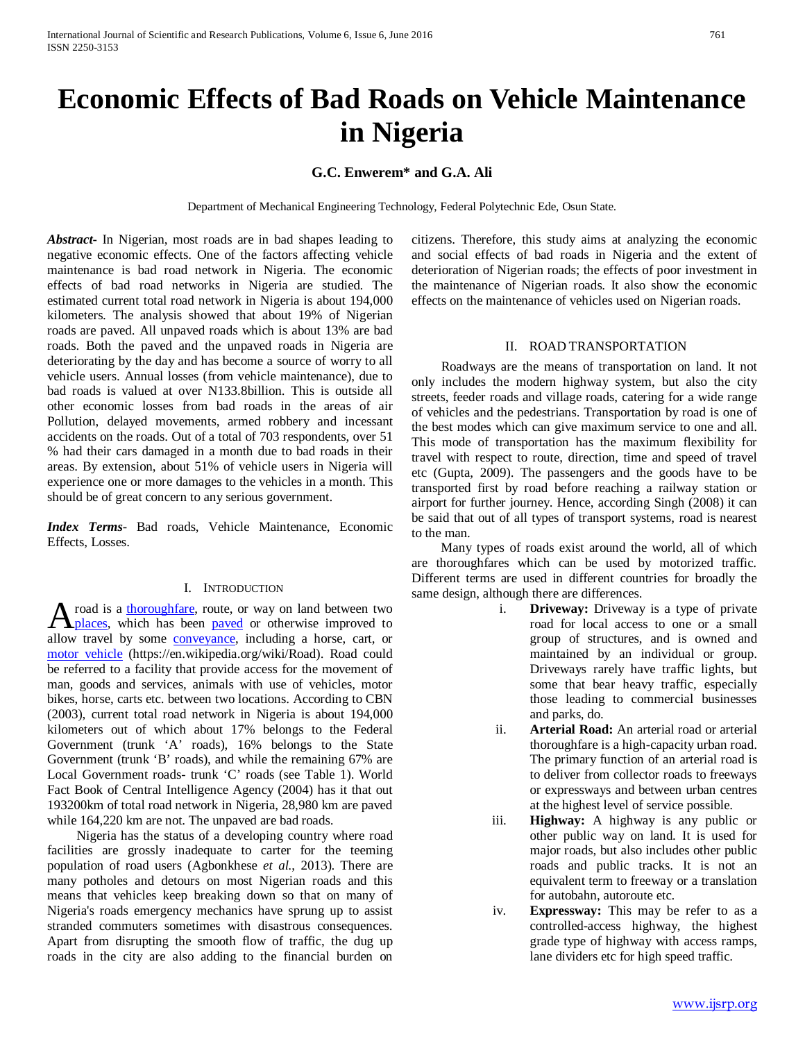# **Economic Effects of Bad Roads on Vehicle Maintenance in Nigeria**

# **G.C. Enwerem\* and G.A. Ali**

Department of Mechanical Engineering Technology, Federal Polytechnic Ede, Osun State.

*Abstract***-** In Nigerian, most roads are in bad shapes leading to negative economic effects. One of the factors affecting vehicle maintenance is bad road network in Nigeria. The economic effects of bad road networks in Nigeria are studied. The estimated current total road network in Nigeria is about 194,000 kilometers. The analysis showed that about 19% of Nigerian roads are paved. All unpaved roads which is about 13% are bad roads. Both the paved and the unpaved roads in Nigeria are deteriorating by the day and has become a source of worry to all vehicle users. Annual losses (from vehicle maintenance), due to bad roads is valued at over N133.8billion. This is outside all other economic losses from bad roads in the areas of air Pollution, delayed movements, armed robbery and incessant accidents on the roads. Out of a total of 703 respondents, over 51 % had their cars damaged in a month due to bad roads in their areas. By extension, about 51% of vehicle users in Nigeria will experience one or more damages to the vehicles in a month. This should be of great concern to any serious government.

*Index Terms*- Bad roads, Vehicle Maintenance, Economic Effects, Losses.

## I. INTRODUCTION

road is a [thoroughfare,](http://en.wikipedia.org/wiki/Thoroughfare) route, or way on land between two A road is a thoroughfare, route, or way on land between two [places,](http://en.wikipedia.org/wiki/Location_%28geography%29) which has been [paved](http://en.wikipedia.org/wiki/Pavement_%28material%29) or otherwise improved to allow travel by some [conveyance,](http://en.wiktionary.org/wiki/conveyance) including a horse, cart, or [motor vehicle](http://en.wikipedia.org/wiki/Motor_vehicle) (https://en.wikipedia.org/wiki/Road). Road could be referred to a facility that provide access for the movement of man, goods and services, animals with use of vehicles, motor bikes, horse, carts etc. between two locations. According to CBN (2003), current total road network in Nigeria is about 194,000 kilometers out of which about 17% belongs to the Federal Government (trunk 'A' roads), 16% belongs to the State Government (trunk 'B' roads), and while the remaining 67% are Local Government roads- trunk 'C' roads (see Table 1). World Fact Book of Central Intelligence Agency (2004) has it that out 193200km of total road network in Nigeria, 28,980 km are paved while 164,220 km are not. The unpaved are bad roads.

 Nigeria has the status of a developing country where road facilities are grossly inadequate to carter for the teeming population of road users (Agbonkhese *et al.*, 2013). There are many potholes and detours on most Nigerian roads and this means that vehicles keep breaking down so that on many of Nigeria's roads emergency mechanics have sprung up to assist stranded commuters sometimes with disastrous consequences. Apart from disrupting the smooth flow of traffic, the dug up roads in the city are also adding to the financial burden on citizens. Therefore, this study aims at analyzing the economic and social effects of bad roads in Nigeria and the extent of deterioration of Nigerian roads; the effects of poor investment in the maintenance of Nigerian roads. It also show the economic effects on the maintenance of vehicles used on Nigerian roads.

## II. ROAD TRANSPORTATION

 Roadways are the means of transportation on land. It not only includes the modern highway system, but also the city streets, feeder roads and village roads, catering for a wide range of vehicles and the pedestrians. Transportation by road is one of the best modes which can give maximum service to one and all. This mode of transportation has the maximum flexibility for travel with respect to route, direction, time and speed of travel etc (Gupta, 2009). The passengers and the goods have to be transported first by road before reaching a railway station or airport for further journey. Hence, according Singh (2008) it can be said that out of all types of transport systems, road is nearest to the man.

 Many types of roads exist around the world, all of which are thoroughfares which can be used by motorized traffic. Different terms are used in different countries for broadly the same design, although there are differences.

- i. **Driveway:** Driveway is a type of private road for local access to one or a small group of structures, and is owned and maintained by an individual or group. Driveways rarely have traffic lights, but some that bear heavy traffic, especially those leading to commercial businesses and parks, do.
- ii. **Arterial Road:** An arterial road or arterial thoroughfare is a high-capacity urban road. The primary function of an arterial road is to deliver from collector roads to freeways or expressways and between urban centres at the highest level of service possible.
- iii. **Highway:** A highway is any public or other public way on land. It is used for major roads, but also includes other public roads and public tracks. It is not an equivalent term to freeway or a translation for autobahn, autoroute etc.
- iv. **Expressway:** This may be refer to as a controlled-access highway, the highest grade type of highway with access ramps, lane dividers etc for high speed traffic.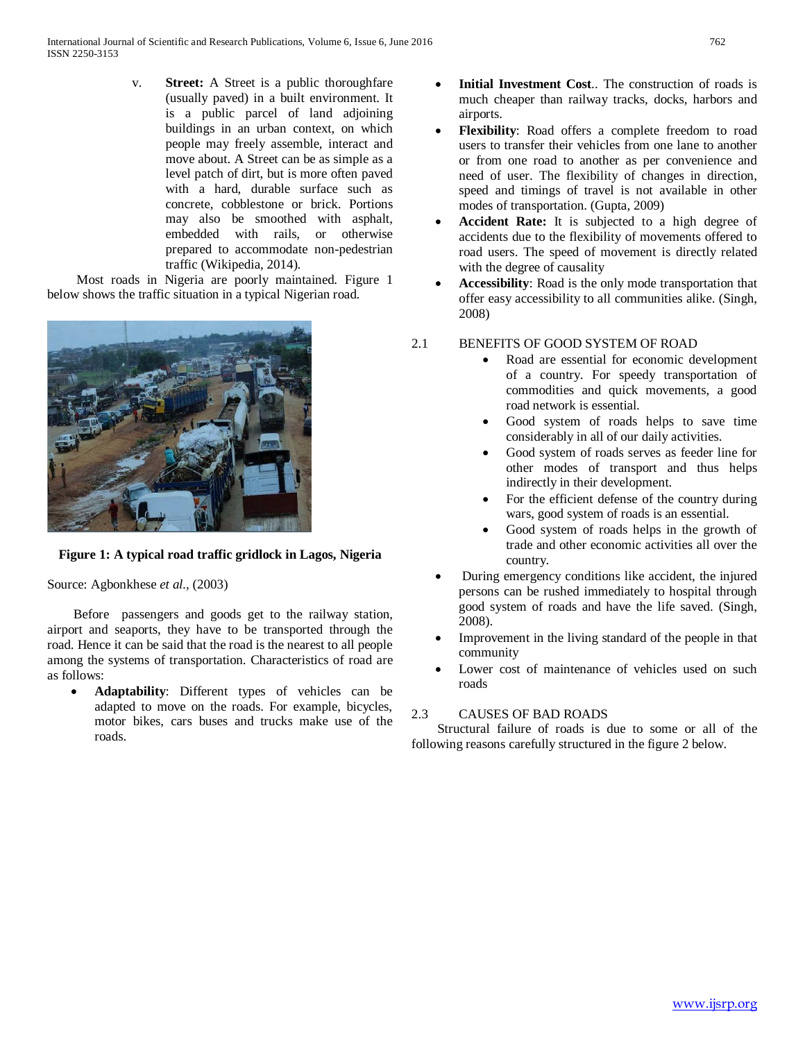v. **Street:** A Street is a public thoroughfare (usually paved) in a built environment. It is a public parcel of land adjoining buildings in an urban context, on which people may freely assemble, interact and move about. A Street can be as simple as a level patch of dirt, but is more often paved with a hard, durable surface such as concrete, cobblestone or brick. Portions may also be smoothed with asphalt, embedded with rails, or otherwise prepared to accommodate non-pedestrian traffic (Wikipedia, 2014).

 Most roads in Nigeria are poorly maintained. Figure 1 below shows the traffic situation in a typical Nigerian road.



# **Figure 1: A typical road traffic gridlock in Lagos, Nigeria**

Source: Agbonkhese *et al.,* (2003)

 Before passengers and goods get to the railway station, airport and seaports, they have to be transported through the road. Hence it can be said that the road is the nearest to all people among the systems of transportation. Characteristics of road are as follows:

• **Adaptability**: Different types of vehicles can be adapted to move on the roads. For example, bicycles, motor bikes, cars buses and trucks make use of the roads.

- **Initial Investment Cost..** The construction of roads is much cheaper than railway tracks, docks, harbors and airports.
- **Flexibility**: Road offers a complete freedom to road users to transfer their vehicles from one lane to another or from one road to another as per convenience and need of user. The flexibility of changes in direction, speed and timings of travel is not available in other modes of transportation. (Gupta, 2009)
- Accident Rate: It is subjected to a high degree of accidents due to the flexibility of movements offered to road users. The speed of movement is directly related with the degree of causality
- **Accessibility**: Road is the only mode transportation that offer easy accessibility to all communities alike. (Singh, 2008)

# 2.1 BENEFITS OF GOOD SYSTEM OF ROAD

- Road are essential for economic development of a country. For speedy transportation of commodities and quick movements, a good road network is essential.
- Good system of roads helps to save time considerably in all of our daily activities.
- Good system of roads serves as feeder line for other modes of transport and thus helps indirectly in their development.
- For the efficient defense of the country during wars, good system of roads is an essential.
- Good system of roads helps in the growth of trade and other economic activities all over the country.
- During emergency conditions like accident, the injured persons can be rushed immediately to hospital through good system of roads and have the life saved. (Singh, 2008).
- Improvement in the living standard of the people in that community
- Lower cost of maintenance of vehicles used on such roads

# 2.3 CAUSES OF BAD ROADS

 Structural failure of roads is due to some or all of the following reasons carefully structured in the figure 2 below.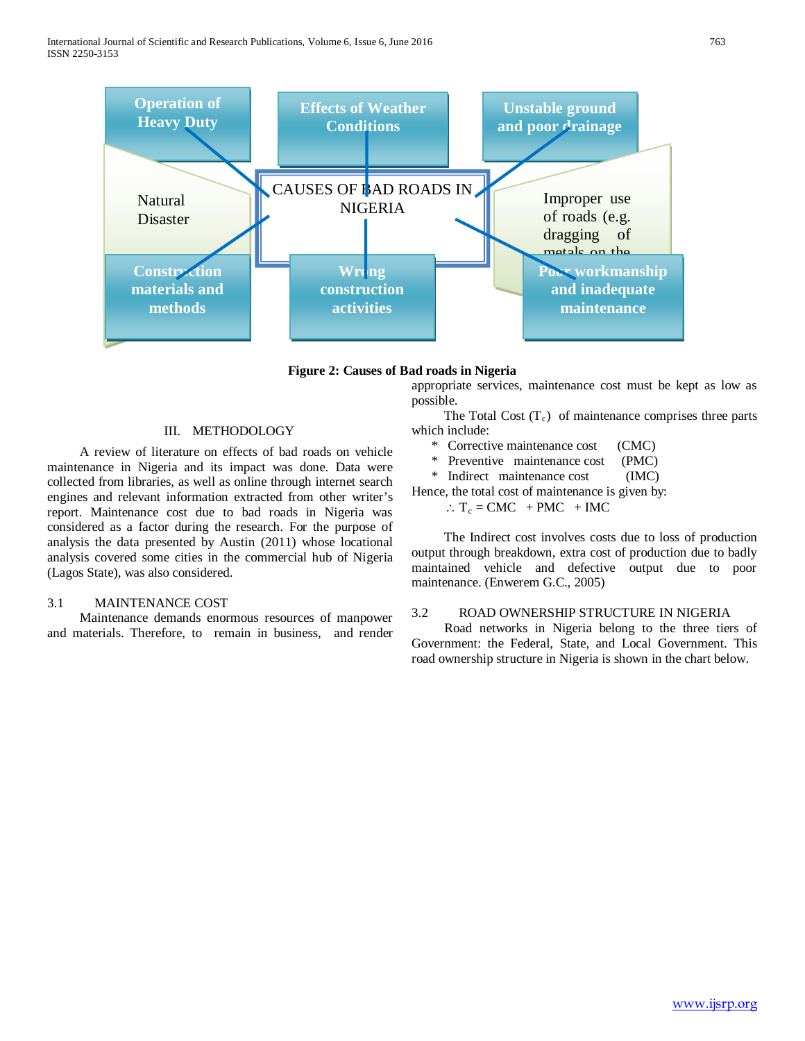

**Figure 2: Causes of Bad roads in Nigeria**

appropriate services, maintenance cost must be kept as low as possible.

The Total Cost  $(T_c)$  of maintenance comprises three parts which include:

- \* Corrective maintenance cost (CMC)
- \* Preventive maintenance cost (PMC)
- \* Indirect maintenance cost (IMC)

Hence, the total cost of maintenance is given by:

 $\therefore$  T<sub>c</sub> = CMC + PMC + IMC

 The Indirect cost involves costs due to loss of production output through breakdown, extra cost of production due to badly maintained vehicle and defective output due to poor maintenance. (Enwerem G.C., 2005)

### 3.2 ROAD OWNERSHIP STRUCTURE IN NIGERIA

 Road networks in Nigeria belong to the three tiers of Government: the Federal, State, and Local Government. This road ownership structure in Nigeria is shown in the chart below.

## III. METHODOLOGY

 A review of literature on effects of bad roads on vehicle maintenance in Nigeria and its impact was done. Data were collected from libraries, as well as online through internet search engines and relevant information extracted from other writer's report. Maintenance cost due to bad roads in Nigeria was considered as a factor during the research. For the purpose of analysis the data presented by Austin (2011) whose locational analysis covered some cities in the commercial hub of Nigeria (Lagos State), was also considered.

#### 3.1 MAINTENANCE COST

 Maintenance demands enormous resources of manpower and materials. Therefore, to remain in business, and render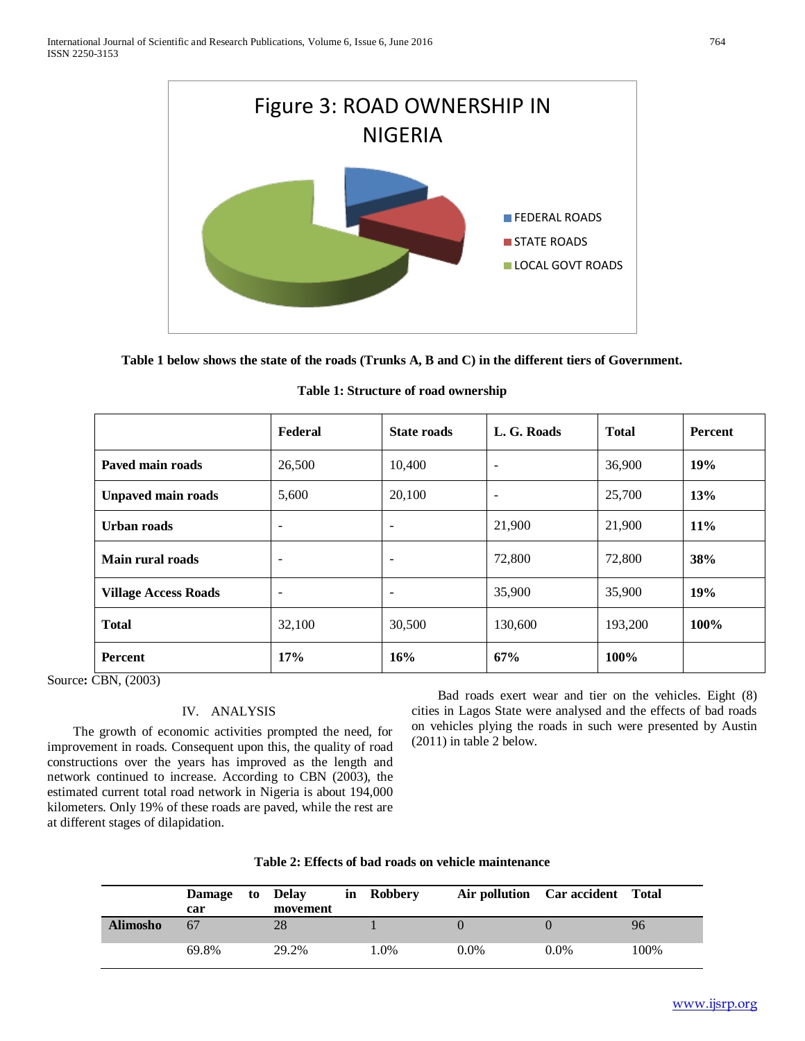

**Table 1 below shows the state of the roads (Trunks A, B and C) in the different tiers of Government.**

|                             | Federal                  | <b>State roads</b>       | L. G. Roads              | <b>Total</b> | <b>Percent</b> |
|-----------------------------|--------------------------|--------------------------|--------------------------|--------------|----------------|
| Paved main roads            | 26,500                   | 10,400                   | $\overline{\phantom{a}}$ | 36,900       | 19%            |
| <b>Unpaved main roads</b>   | 5,600                    | 20,100                   | $\overline{\phantom{a}}$ | 25,700       | 13%            |
| Urban roads                 | $\overline{\phantom{a}}$ | $\overline{\phantom{0}}$ | 21,900                   | 21,900       | 11%            |
| Main rural roads            | $\overline{\phantom{a}}$ | $\overline{\phantom{a}}$ | 72,800                   | 72,800       | 38%            |
| <b>Village Access Roads</b> | $\overline{\phantom{a}}$ | $\overline{\phantom{a}}$ | 35,900                   | 35,900       | 19%            |
| <b>Total</b>                | 32,100                   | 30,500                   | 130,600                  | 193,200      | 100%           |
| Percent                     | 17%                      | 16%                      | 67%                      | 100%         |                |

|  |  |  | Table 1: Structure of road ownership |
|--|--|--|--------------------------------------|
|--|--|--|--------------------------------------|

Source**:** CBN, (2003)

# IV. ANALYSIS

 The growth of economic activities prompted the need, for improvement in roads. Consequent upon this, the quality of road constructions over the years has improved as the length and network continued to increase. According to CBN (2003), the estimated current total road network in Nigeria is about 194,000 kilometers. Only 19% of these roads are paved, while the rest are at different stages of dilapidation.

 Bad roads exert wear and tier on the vehicles. Eight (8) cities in Lagos State were analysed and the effects of bad roads on vehicles plying the roads in such were presented by Austin (2011) in table 2 below.

| Table 2: Effects of bad roads on vehicle maintenance |
|------------------------------------------------------|
|------------------------------------------------------|

|                 | Damage to Delay<br>car | movement | in Robbery |         | Air pollution Car accident Total |      |
|-----------------|------------------------|----------|------------|---------|----------------------------------|------|
| <b>Alimosho</b> | 67                     | 28       |            |         |                                  | 96   |
|                 | 69.8%                  | 29.2%    | 1.0%       | $0.0\%$ | $0.0\%$                          | 100% |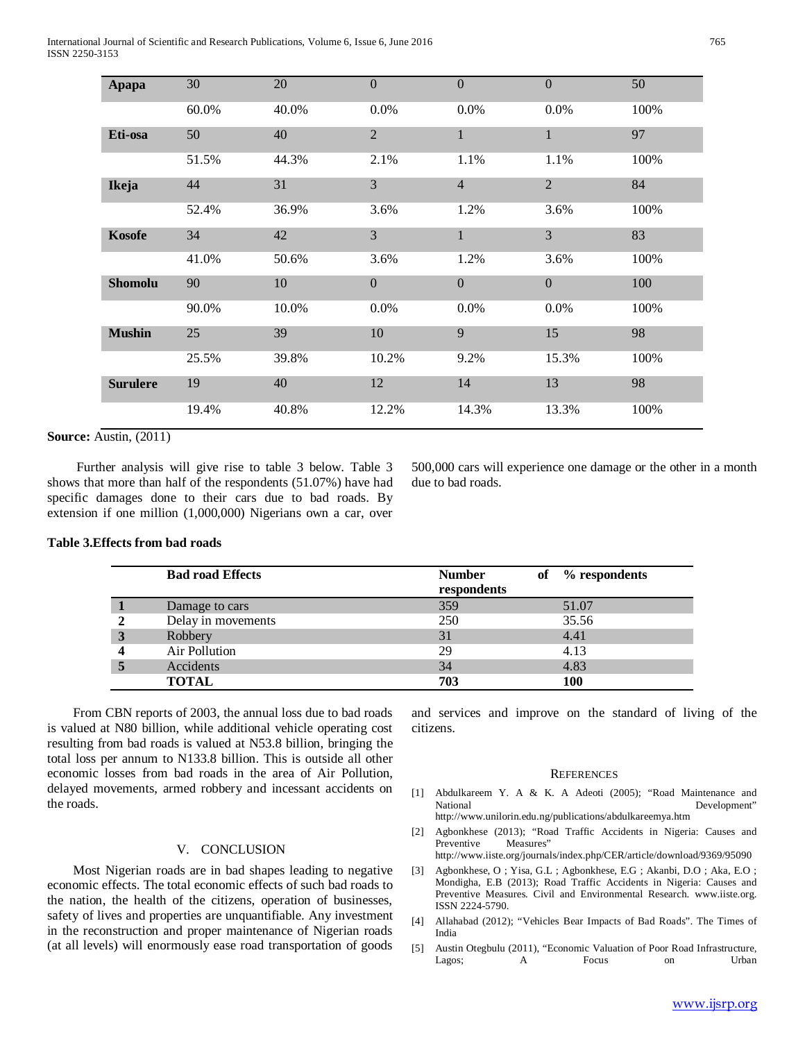International Journal of Scientific and Research Publications, Volume 6, Issue 6, June 2016 765 ISSN 2250-3153

| Apapa           | 30    | 20    | $\boldsymbol{0}$ | $\mathbf{0}$   | $\mathbf{0}$   | 50   |
|-----------------|-------|-------|------------------|----------------|----------------|------|
|                 | 60.0% | 40.0% | 0.0%             | $0.0\%$        | 0.0%           | 100% |
| Eti-osa         | 50    | 40    | $\overline{2}$   | $\mathbf{1}$   | $\mathbf{1}$   | 97   |
|                 | 51.5% | 44.3% | 2.1%             | 1.1%           | 1.1%           | 100% |
| Ikeja           | 44    | 31    | 3                | $\overline{4}$ | $\overline{2}$ | 84   |
|                 | 52.4% | 36.9% | 3.6%             | 1.2%           | 3.6%           | 100% |
| <b>Kosofe</b>   | 34    | 42    | 3                | $\mathbf{1}$   | 3              | 83   |
|                 | 41.0% | 50.6% | 3.6%             | 1.2%           | 3.6%           | 100% |
| <b>Shomolu</b>  | 90    | 10    | $\mathbf{0}$     | $\mathbf{0}$   | $\overline{0}$ | 100  |
|                 | 90.0% | 10.0% | 0.0%             | 0.0%           | 0.0%           | 100% |
| <b>Mushin</b>   | 25    | 39    | 10               | 9              | 15             | 98   |
|                 | 25.5% | 39.8% | 10.2%            | 9.2%           | 15.3%          | 100% |
| <b>Surulere</b> | 19    | 40    | 12               | 14             | 13             | 98   |
|                 | 19.4% | 40.8% | 12.2%            | 14.3%          | 13.3%          | 100% |

**Source:** Austin, (2011)

 Further analysis will give rise to table 3 below. Table 3 shows that more than half of the respondents (51.07%) have had specific damages done to their cars due to bad roads. By extension if one million (1,000,000) Nigerians own a car, over 500,000 cars will experience one damage or the other in a month due to bad roads.

## **Table 3.Effects from bad roads**

|   | <b>Bad road Effects</b> | <b>Number</b><br>respondents | of | % respondents |
|---|-------------------------|------------------------------|----|---------------|
|   | Damage to cars          | 359                          |    | 51.07         |
|   | Delay in movements      | 250                          |    | 35.56         |
| 3 | Robbery                 | 31                           |    | 4.41          |
|   | Air Pollution           | 29                           |    | 4.13          |
|   | Accidents               | 34                           |    | 4.83          |
|   | <b>TOTAL</b>            | 703                          |    | 100           |

 From CBN reports of 2003, the annual loss due to bad roads is valued at N80 billion, while additional vehicle operating cost resulting from bad roads is valued at N53.8 billion, bringing the total loss per annum to N133.8 billion. This is outside all other economic losses from bad roads in the area of Air Pollution, delayed movements, armed robbery and incessant accidents on the roads.

#### V. CONCLUSION

 Most Nigerian roads are in bad shapes leading to negative economic effects. The total economic effects of such bad roads to the nation, the health of the citizens, operation of businesses, safety of lives and properties are unquantifiable. Any investment in the reconstruction and proper maintenance of Nigerian roads (at all levels) will enormously ease road transportation of goods

and services and improve on the standard of living of the citizens.

#### **REFERENCES**

- [1] Abdulkareem Y. A & K. A Adeoti (2005); "Road Maintenance and National Development" http://www.unilorin.edu.ng/publications/abdulkareemya.htm
- [2] Agbonkhese (2013); "Road Traffic Accidents in Nigeria: Causes and Preventive Measures"
	- http://www.iiste.org/journals/index.php/CER/article/download/9369/95090
- [3] Agbonkhese, O ; Yisa, G.L ; Agbonkhese, E.G ; Akanbi, D.O ; Aka, E.O ; Mondigha, E.B (2013); Road Traffic Accidents in Nigeria: Causes and Preventive Measures. Civil and Environmental Research. www.iiste.org. ISSN 2224-5790.
- [4] Allahabad (2012); "Vehicles Bear Impacts of Bad Roads". The Times of India
- [5] Austin Otegbulu (2011), "Economic Valuation of Poor Road Infrastructure, Lagos; A Focus on Urban